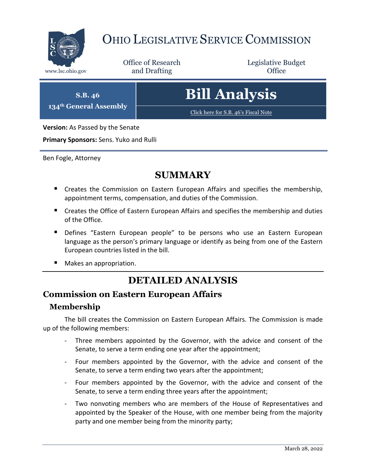

# OHIO LEGISLATIVE SERVICE COMMISSION

Office of Research www.lsc.ohio.gov **and Drafting Office** 

Legislative Budget

**S.B. 46 134th General Assembly**

# **Bill Analysis**

[Click here for S.B. 46's Fiscal Note](https://www.legislature.ohio.gov/legislation/legislation-documents?id=GA134-SB-46)

**Version:** As Passed by the Senate

**Primary Sponsors:** Sens. Yuko and Rulli

Ben Fogle, Attorney

### **SUMMARY**

- **E** Creates the Commission on Eastern European Affairs and specifies the membership, appointment terms, compensation, and duties of the Commission.
- **E** Creates the Office of Eastern European Affairs and specifies the membership and duties of the Office.
- **Defines "Eastern European people" to be persons who use an Eastern European** language as the person's primary language or identify as being from one of the Eastern European countries listed in the bill.
- Makes an appropriation.

## **DETAILED ANALYSIS**

#### **Commission on Eastern European Affairs**

#### **Membership**

The bill creates the Commission on Eastern European Affairs. The Commission is made up of the following members:

- Three members appointed by the Governor, with the advice and consent of the Senate, to serve a term ending one year after the appointment;
- Four members appointed by the Governor, with the advice and consent of the Senate, to serve a term ending two years after the appointment;
- Four members appointed by the Governor, with the advice and consent of the Senate, to serve a term ending three years after the appointment;
- Two nonvoting members who are members of the House of Representatives and appointed by the Speaker of the House, with one member being from the majority party and one member being from the minority party;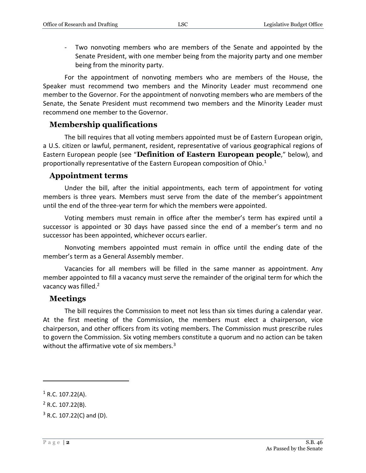- Two nonvoting members who are members of the Senate and appointed by the Senate President, with one member being from the majority party and one member being from the minority party.

For the appointment of nonvoting members who are members of the House, the Speaker must recommend two members and the Minority Leader must recommend one member to the Governor. For the appointment of nonvoting members who are members of the Senate, the Senate President must recommend two members and the Minority Leader must recommend one member to the Governor.

#### **Membership qualifications**

The bill requires that all voting members appointed must be of Eastern European origin, a U.S. citizen or lawful, permanent, resident, representative of various geographical regions of Eastern European people (see "**Definition of Eastern European people**," below), and proportionally representative of the Eastern European composition of Ohio. $1$ 

#### **Appointment terms**

Under the bill, after the initial appointments, each term of appointment for voting members is three years. Members must serve from the date of the member's appointment until the end of the three-year term for which the members were appointed.

Voting members must remain in office after the member's term has expired until a successor is appointed or 30 days have passed since the end of a member's term and no successor has been appointed, whichever occurs earlier.

Nonvoting members appointed must remain in office until the ending date of the member's term as a General Assembly member.

Vacancies for all members will be filled in the same manner as appointment. Any member appointed to fill a vacancy must serve the remainder of the original term for which the vacancy was filled.<sup>2</sup>

#### **Meetings**

The bill requires the Commission to meet not less than six times during a calendar year. At the first meeting of the Commission, the members must elect a chairperson, vice chairperson, and other officers from its voting members. The Commission must prescribe rules to govern the Commission. Six voting members constitute a quorum and no action can be taken without the affirmative vote of six members.<sup>3</sup>

 $\overline{a}$ 

 $1$  R.C. 107.22(A).

 $2$  R.C. 107.22(B).

 $3$  R.C. 107.22(C) and (D).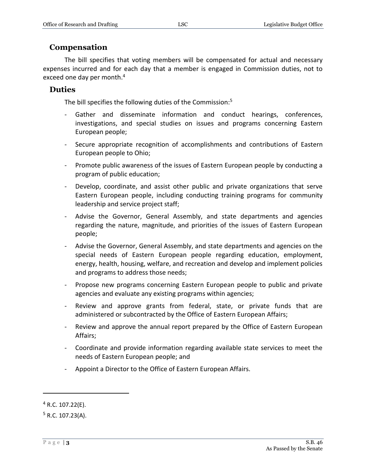#### **Compensation**

The bill specifies that voting members will be compensated for actual and necessary expenses incurred and for each day that a member is engaged in Commission duties, not to exceed one day per month.<sup>4</sup>

#### **Duties**

The bill specifies the following duties of the Commission:<sup>5</sup>

- Gather and disseminate information and conduct hearings, conferences, investigations, and special studies on issues and programs concerning Eastern European people;
- Secure appropriate recognition of accomplishments and contributions of Eastern European people to Ohio;
- Promote public awareness of the issues of Eastern European people by conducting a program of public education;
- Develop, coordinate, and assist other public and private organizations that serve Eastern European people, including conducting training programs for community leadership and service project staff;
- Advise the Governor, General Assembly, and state departments and agencies regarding the nature, magnitude, and priorities of the issues of Eastern European people;
- Advise the Governor, General Assembly, and state departments and agencies on the special needs of Eastern European people regarding education, employment, energy, health, housing, welfare, and recreation and develop and implement policies and programs to address those needs;
- Propose new programs concerning Eastern European people to public and private agencies and evaluate any existing programs within agencies;
- Review and approve grants from federal, state, or private funds that are administered or subcontracted by the Office of Eastern European Affairs;
- Review and approve the annual report prepared by the Office of Eastern European Affairs;
- Coordinate and provide information regarding available state services to meet the needs of Eastern European people; and
- Appoint a Director to the Office of Eastern European Affairs.

 $\overline{a}$ 

 $4$  R.C. 107.22(E).

 $5$  R.C. 107.23(A).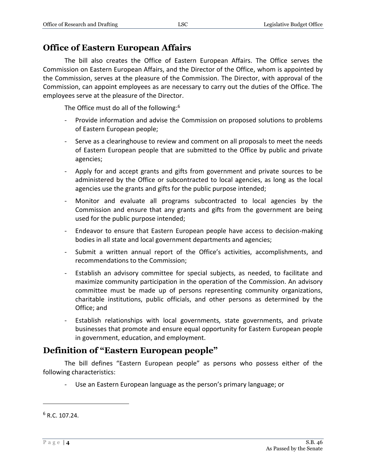#### **Office of Eastern European Affairs**

The bill also creates the Office of Eastern European Affairs. The Office serves the Commission on Eastern European Affairs, and the Director of the Office, whom is appointed by the Commission, serves at the pleasure of the Commission. The Director, with approval of the Commission, can appoint employees as are necessary to carry out the duties of the Office. The employees serve at the pleasure of the Director.

The Office must do all of the following:<sup>6</sup>

- Provide information and advise the Commission on proposed solutions to problems of Eastern European people;
- Serve as a clearinghouse to review and comment on all proposals to meet the needs of Eastern European people that are submitted to the Office by public and private agencies;
- Apply for and accept grants and gifts from government and private sources to be administered by the Office or subcontracted to local agencies, as long as the local agencies use the grants and gifts for the public purpose intended;
- Monitor and evaluate all programs subcontracted to local agencies by the Commission and ensure that any grants and gifts from the government are being used for the public purpose intended;
- Endeavor to ensure that Eastern European people have access to decision-making bodies in all state and local government departments and agencies;
- Submit a written annual report of the Office's activities, accomplishments, and recommendations to the Commission;
- Establish an advisory committee for special subjects, as needed, to facilitate and maximize community participation in the operation of the Commission. An advisory committee must be made up of persons representing community organizations, charitable institutions, public officials, and other persons as determined by the Office; and
- Establish relationships with local governments, state governments, and private businesses that promote and ensure equal opportunity for Eastern European people in government, education, and employment.

### **Definition of "Eastern European people"**

The bill defines "Eastern European people" as persons who possess either of the following characteristics:

- Use an Eastern European language as the person's primary language; or

 $\overline{a}$ 

 $6 R.C. 107.24.$